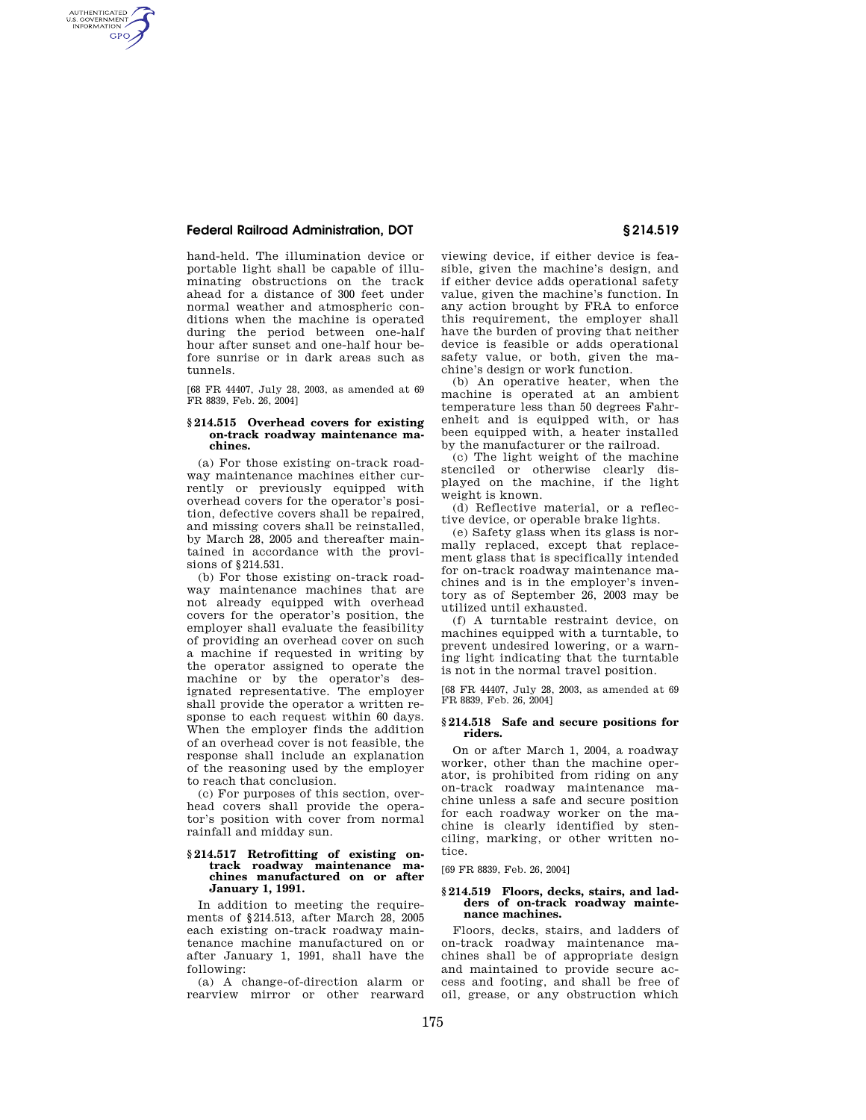# **Federal Railroad Administration, DOT § 214.519**

AUTHENTICATED<br>U.S. GOVERNMENT<br>INFORMATION **GPO** 

> hand-held. The illumination device or portable light shall be capable of illuminating obstructions on the track ahead for a distance of 300 feet under normal weather and atmospheric conditions when the machine is operated during the period between one-half hour after sunset and one-half hour before sunrise or in dark areas such as tunnels.

[68 FR 44407, July 28, 2003, as amended at 69 FR 8839, Feb. 26, 2004]

### **§ 214.515 Overhead covers for existing on-track roadway maintenance machines.**

(a) For those existing on-track roadway maintenance machines either currently or previously equipped with overhead covers for the operator's position, defective covers shall be repaired, and missing covers shall be reinstalled, by March 28, 2005 and thereafter maintained in accordance with the provisions of §214.531.

(b) For those existing on-track roadway maintenance machines that are not already equipped with overhead covers for the operator's position, the employer shall evaluate the feasibility of providing an overhead cover on such a machine if requested in writing by the operator assigned to operate the machine or by the operator's designated representative. The employer shall provide the operator a written response to each request within 60 days. When the employer finds the addition of an overhead cover is not feasible, the response shall include an explanation of the reasoning used by the employer to reach that conclusion.

(c) For purposes of this section, overhead covers shall provide the operator's position with cover from normal rainfall and midday sun.

### **§ 214.517 Retrofitting of existing ontrack roadway maintenance machines manufactured on or after January 1, 1991.**

In addition to meeting the requirements of §214.513, after March 28, 2005 each existing on-track roadway maintenance machine manufactured on or after January 1, 1991, shall have the following:

(a) A change-of-direction alarm or rearview mirror or other rearward

viewing device, if either device is feasible, given the machine's design, and if either device adds operational safety value, given the machine's function. In any action brought by FRA to enforce this requirement, the employer shall have the burden of proving that neither device is feasible or adds operational safety value, or both, given the machine's design or work function.

(b) An operative heater, when the machine is operated at an ambient temperature less than 50 degrees Fahrenheit and is equipped with, or has been equipped with, a heater installed by the manufacturer or the railroad.

(c) The light weight of the machine stenciled or otherwise clearly displayed on the machine, if the light weight is known.

(d) Reflective material, or a reflective device, or operable brake lights.

(e) Safety glass when its glass is normally replaced, except that replacement glass that is specifically intended for on-track roadway maintenance machines and is in the employer's inventory as of September 26, 2003 may be utilized until exhausted.

(f) A turntable restraint device, on machines equipped with a turntable, to prevent undesired lowering, or a warning light indicating that the turntable is not in the normal travel position.

[68 FR 44407, July 28, 2003, as amended at 69 FR 8839, Feb. 26, 2004]

### **§ 214.518 Safe and secure positions for riders.**

On or after March 1, 2004, a roadway worker, other than the machine operator, is prohibited from riding on any on-track roadway maintenance machine unless a safe and secure position for each roadway worker on the machine is clearly identified by stenciling, marking, or other written notice.

[69 FR 8839, Feb. 26, 2004]

## **§ 214.519 Floors, decks, stairs, and ladders of on-track roadway maintenance machines.**

Floors, decks, stairs, and ladders of on-track roadway maintenance machines shall be of appropriate design and maintained to provide secure access and footing, and shall be free of oil, grease, or any obstruction which